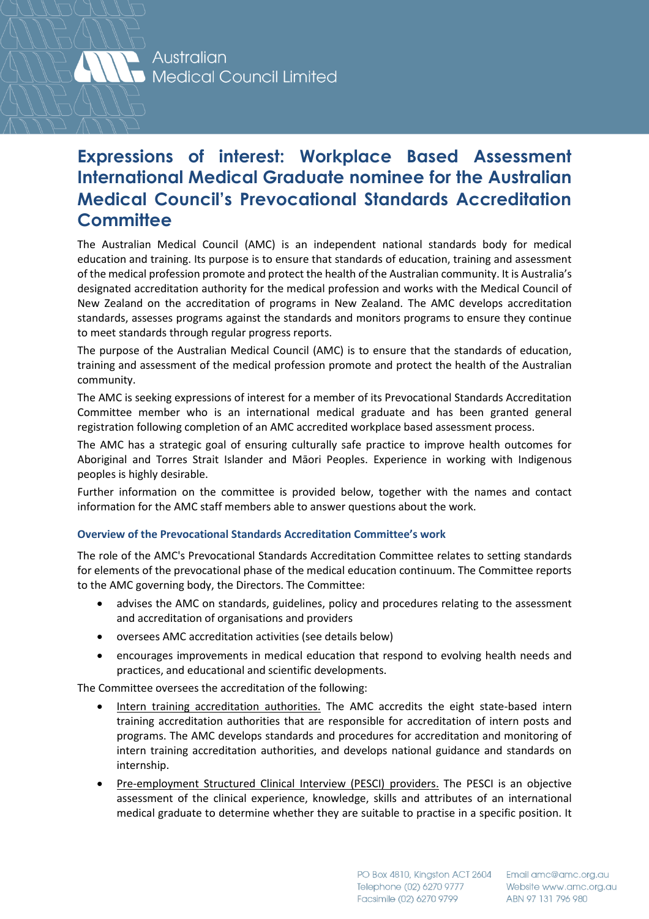

# **Expressions of interest: Workplace Based Assessment International Medical Graduate nominee for the Australian Medical Council's Prevocational Standards Accreditation Committee**

The Australian Medical Council (AMC) is an independent national standards body for medical education and training. Its purpose is to ensure that standards of education, training and assessment of the medical profession promote and protect the health of the Australian community. It is Australia's designated accreditation authority for the medical profession and works with the Medical Council of New Zealand on the accreditation of programs in New Zealand. The AMC develops accreditation standards, assesses programs against the standards and monitors programs to ensure they continue to meet standards through regular progress reports.

The purpose of the Australian Medical Council (AMC) is to ensure that the standards of education, training and assessment of the medical profession promote and protect the health of the Australian community.

The AMC is seeking expressions of interest for a member of its Prevocational Standards Accreditation Committee member who is an international medical graduate and has been granted general registration following completion of an AMC accredited workplace based assessment process.

The AMC has a strategic goal of ensuring culturally safe practice to improve health outcomes for Aboriginal and Torres Strait Islander and Māori Peoples. Experience in working with Indigenous peoples is highly desirable.

Further information on the committee is provided below, together with the names and contact information for the AMC staff members able to answer questions about the work.

### **Overview of the Prevocational Standards Accreditation Committee's work**

The role of the AMC's Prevocational Standards Accreditation Committee relates to setting standards for elements of the prevocational phase of the medical education continuum. The Committee reports to the AMC governing body, the Directors. The Committee:

- advises the AMC on standards, guidelines, policy and procedures relating to the assessment and accreditation of organisations and providers
- oversees AMC accreditation activities (see details below)
- encourages improvements in medical education that respond to evolving health needs and practices, and educational and scientific developments.

The Committee oversees the accreditation of the following:

- Intern training accreditation authorities. The AMC accredits the eight state-based intern training accreditation authorities that are responsible for accreditation of intern posts and programs. The AMC develops standards and procedures for accreditation and monitoring of intern training accreditation authorities, and develops national guidance and standards on internship.
- Pre-employment Structured Clinical Interview (PESCI) providers. The PESCI is an objective assessment of the clinical experience, knowledge, skills and attributes of an international medical graduate to determine whether they are suitable to practise in a specific position. It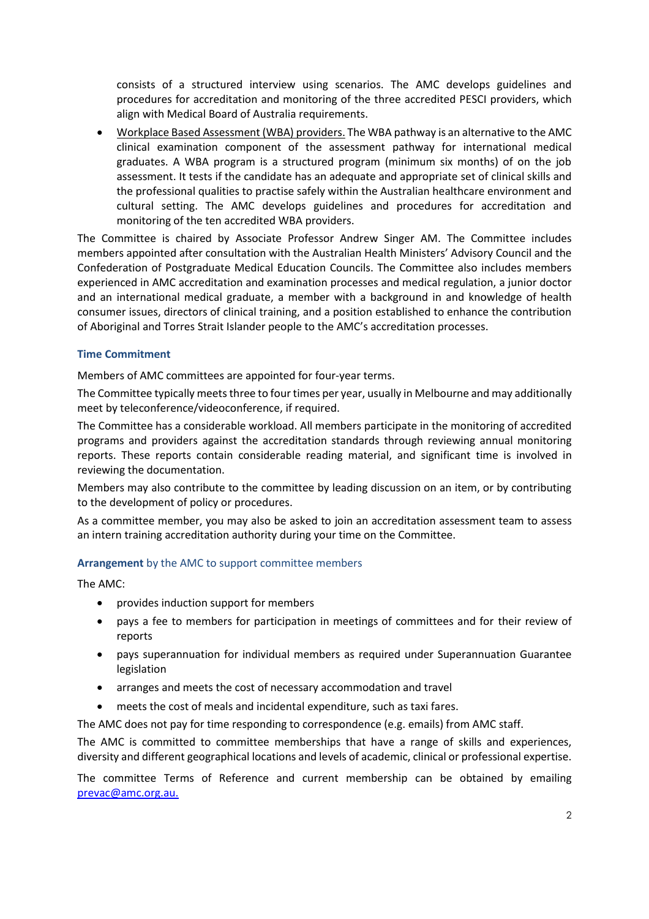consists of a structured interview using scenarios. The AMC develops guidelines and procedures for accreditation and monitoring of the three accredited PESCI providers, which align with Medical Board of Australia requirements.

• Workplace Based Assessment (WBA) providers. The WBA pathway is an alternative to the AMC clinical examination component of the assessment pathway for international medical graduates. A WBA program is a structured program (minimum six months) of on the job assessment. It tests if the candidate has an adequate and appropriate set of clinical skills and the professional qualities to practise safely within the Australian healthcare environment and cultural setting. The AMC develops guidelines and procedures for accreditation and monitoring of the ten accredited WBA providers.

The Committee is chaired by Associate Professor Andrew Singer AM. The Committee includes members appointed after consultation with the Australian Health Ministers' Advisory Council and the Confederation of Postgraduate Medical Education Councils. The Committee also includes members experienced in AMC accreditation and examination processes and medical regulation, a junior doctor and an international medical graduate, a member with a background in and knowledge of health consumer issues, directors of clinical training, and a position established to enhance the contribution of Aboriginal and Torres Strait Islander people to the AMC's accreditation processes.

### **Time Commitment**

Members of AMC committees are appointed for four-year terms.

The Committee typically meets three to four times per year, usually in Melbourne and may additionally meet by teleconference/videoconference, if required.

The Committee has a considerable workload. All members participate in the monitoring of accredited programs and providers against the accreditation standards through reviewing annual monitoring reports. These reports contain considerable reading material, and significant time is involved in reviewing the documentation.

Members may also contribute to the committee by leading discussion on an item, or by contributing to the development of policy or procedures.

As a committee member, you may also be asked to join an accreditation assessment team to assess an intern training accreditation authority during your time on the Committee.

#### **Arrangement** by the AMC to support committee members

The AMC:

- provides induction support for members
- pays a fee to members for participation in meetings of committees and for their review of reports
- pays superannuation for individual members as required under Superannuation Guarantee legislation
- arranges and meets the cost of necessary accommodation and travel
- meets the cost of meals and incidental expenditure, such as taxi fares.

The AMC does not pay for time responding to correspondence (e.g. emails) from AMC staff.

The AMC is committed to committee memberships that have a range of skills and experiences, diversity and different geographical locations and levels of academic, clinical or professional expertise.

The committee Terms of Reference and current membership can be obtained by emailing [prevac@amc.org.au.](mailto:prevac@amc.org.au.)